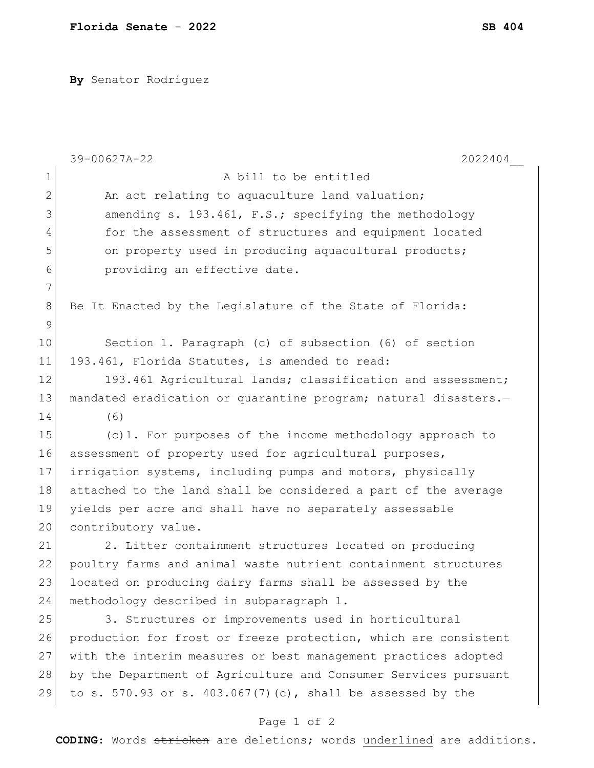**By** Senator Rodriguez

|             | 39-00627A-22<br>2022404                                         |
|-------------|-----------------------------------------------------------------|
| $\mathbf 1$ | A bill to be entitled                                           |
| 2           | An act relating to aquaculture land valuation;                  |
| 3           | amending s. 193.461, F.S.; specifying the methodology           |
| 4           | for the assessment of structures and equipment located          |
| 5           | on property used in producing aquacultural products;            |
| 6           | providing an effective date.                                    |
| 7           |                                                                 |
| 8           | Be It Enacted by the Legislature of the State of Florida:       |
| 9           |                                                                 |
| 10          | Section 1. Paragraph (c) of subsection (6) of section           |
| 11          | 193.461, Florida Statutes, is amended to read:                  |
| 12          | 193.461 Agricultural lands; classification and assessment;      |
| 13          | mandated eradication or quarantine program; natural disasters.- |
| 14          | (6)                                                             |
| 15          | $(c)$ 1. For purposes of the income methodology approach to     |
| 16          | assessment of property used for agricultural purposes,          |
| 17          | irrigation systems, including pumps and motors, physically      |
| 18          | attached to the land shall be considered a part of the average  |
| 19          | yields per acre and shall have no separately assessable         |
| 20          | contributory value.                                             |
| 21          | 2. Litter containment structures located on producing           |
| 22          | poultry farms and animal waste nutrient containment structures  |
| 23          | located on producing dairy farms shall be assessed by the       |
| 24          | methodology described in subparagraph 1.                        |
| 25          | 3. Structures or improvements used in horticultural             |
| 26          | production for frost or freeze protection, which are consistent |
| 27          | with the interim measures or best management practices adopted  |
| 28          | by the Department of Agriculture and Consumer Services pursuant |
| 29          | to s. 570.93 or s. 403.067(7)(c), shall be assessed by the      |
|             | Page 1 of 2                                                     |

**CODING**: Words stricken are deletions; words underlined are additions.